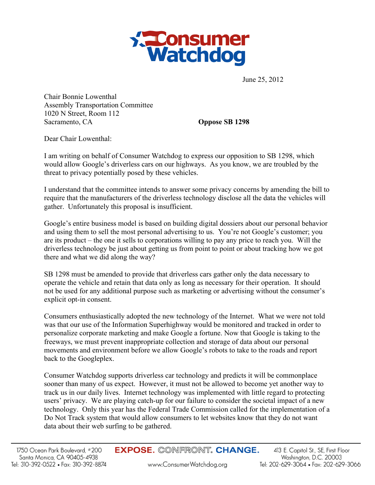

June 25, 2012

Chair Bonnie Lowenthal Assembly Transportation Committee 1020 N Street, Room 112 Sacramento, CA **Oppose SB 1298** 

Dear Chair Lowenthal:

I am writing on behalf of Consumer Watchdog to express our opposition to SB 1298, which would allow Google's driverless cars on our highways. As you know, we are troubled by the threat to privacy potentially posed by these vehicles.

I understand that the committee intends to answer some privacy concerns by amending the bill to require that the manufacturers of the driverless technology disclose all the data the vehicles will gather. Unfortunately this proposal is insufficient.

Google's entire business model is based on building digital dossiers about our personal behavior and using them to sell the most personal advertising to us. You're not Google's customer; you are its product – the one it sells to corporations willing to pay any price to reach you. Will the driverless technology be just about getting us from point to point or about tracking how we got there and what we did along the way?

SB 1298 must be amended to provide that driverless cars gather only the data necessary to operate the vehicle and retain that data only as long as necessary for their operation. It should not be used for any additional purpose such as marketing or advertising without the consumer's explicit opt-in consent.

Consumers enthusiastically adopted the new technology of the Internet. What we were not told was that our use of the Information Superhighway would be monitored and tracked in order to personalize corporate marketing and make Google a fortune. Now that Google is taking to the freeways, we must prevent inappropriate collection and storage of data about our personal movements and environment before we allow Google's robots to take to the roads and report back to the Googleplex.

Consumer Watchdog supports driverless car technology and predicts it will be commonplace sooner than many of us expect. However, it must not be allowed to become yet another way to track us in our daily lives. Internet technology was implemented with little regard to protecting users' privacy. We are playing catch-up for our failure to consider the societal impact of a new technology. Only this year has the Federal Trade Commission called for the implementation of a Do Not Track system that would allow consumers to let websites know that they do not want data about their web surfing to be gathered.